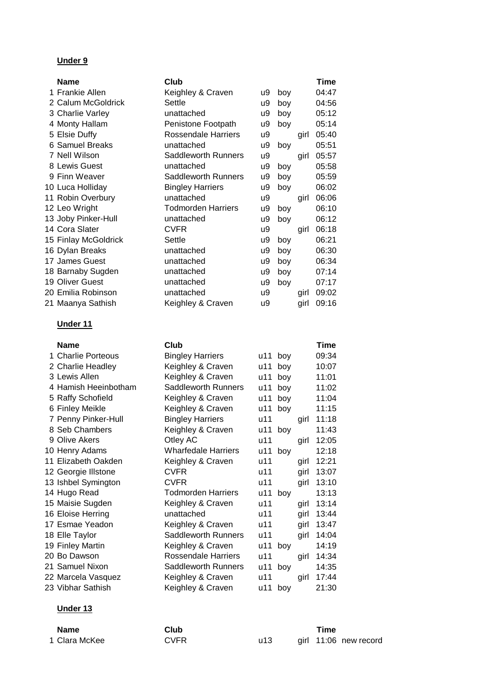### **Under 9**

| <b>Name</b>                            | Club                                            |            |     |              | Time           |
|----------------------------------------|-------------------------------------------------|------------|-----|--------------|----------------|
| 1 Frankie Allen                        | Keighley & Craven                               | u9         | boy |              | 04:47          |
| 2 Calum McGoldrick                     | Settle                                          | u9         | boy |              | 04:56          |
| 3 Charlie Varley                       | unattached                                      | u9         | boy |              | 05:12          |
| 4 Monty Hallam                         | Penistone Footpath                              | u9         | boy |              | 05:14          |
| 5 Elsie Duffy                          | <b>Rossendale Harriers</b>                      | u9         |     | girl         | 05:40          |
| 6 Samuel Breaks                        | unattached                                      | u9         | boy |              | 05:51          |
| 7 Nell Wilson                          | <b>Saddleworth Runners</b>                      | u9         |     | girl         | 05:57          |
| 8 Lewis Guest                          | unattached                                      | u9         | boy |              | 05:58          |
| 9 Finn Weaver                          | <b>Saddleworth Runners</b>                      | u9         | boy |              | 05:59          |
| 10 Luca Holliday                       | <b>Bingley Harriers</b>                         | u9         | boy |              | 06:02          |
| 11 Robin Overbury                      | unattached                                      | u9         |     | girl         | 06:06          |
| 12 Leo Wright                          | <b>Todmorden Harriers</b>                       | u9         | boy |              | 06:10          |
| 13 Joby Pinker-Hull                    | unattached                                      | u9         | boy |              | 06:12          |
| 14 Cora Slater                         | <b>CVFR</b>                                     | u9         |     | girl         | 06:18          |
| 15 Finlay McGoldrick                   | Settle                                          | u9         | boy |              | 06:21          |
| 16 Dylan Breaks                        | unattached                                      | u9         | boy |              | 06:30          |
| 17 James Guest                         | unattached                                      | u9         | boy |              | 06:34          |
| 18 Barnaby Sugden                      | unattached                                      | u9         | boy |              | 07:14          |
| 19 Oliver Guest                        | unattached                                      | u9         | boy |              | 07:17          |
| 20 Emilia Robinson                     | unattached                                      | u9         |     | girl         | 09:02          |
| 21 Maanya Sathish                      | Keighley & Craven                               | u9         |     | girl         | 09:16          |
| <b>Under 11</b>                        |                                                 |            |     |              |                |
|                                        |                                                 |            |     |              |                |
| <b>Name</b>                            | Club                                            |            |     |              | Time           |
| 1 Charlie Porteous                     |                                                 |            |     |              |                |
|                                        | <b>Bingley Harriers</b>                         | u11        | boy |              | 09:34          |
| 2 Charlie Headley<br>3 Lewis Allen     | Keighley & Craven                               | u11        | boy |              | 10:07          |
| 4 Hamish Heeinbotham                   | Keighley & Craven<br><b>Saddleworth Runners</b> | u11<br>u11 | boy |              | 11:01<br>11:02 |
|                                        |                                                 |            | boy |              |                |
| 5 Raffy Schofield                      | Keighley & Craven                               | u11<br>u11 | boy |              | 11:04<br>11:15 |
| 6 Finley Meikle<br>7 Penny Pinker-Hull | Keighley & Craven                               | u11        | boy |              | 11:18          |
| 8 Seb Chambers                         | <b>Bingley Harriers</b><br>Keighley & Craven    | u11        | boy | girl         | 11:43          |
| 9 Olive Akers                          | Otley AC                                        | u11        |     | girl         | 12:05          |
|                                        | <b>Wharfedale Harriers</b>                      | u11        |     |              | 12:18          |
| 10 Henry Adams<br>11 Elizabeth Oakden  | Keighley & Craven                               | u11        | boy | girl         | 12:21          |
| 12 Georgie Illstone                    | CVFR                                            | u11        |     | girl         | 13:07          |
| 13 Ishbel Symington                    | <b>CVFR</b>                                     | u11        |     | girl         | 13:10          |
| 14 Hugo Read                           | <b>Todmorden Harriers</b>                       | u11        | boy |              | 13:13          |
| 15 Maisie Sugden                       | Keighley & Craven                               | u11        |     |              | 13:14          |
| 16 Eloise Herring                      | unattached                                      | u11        |     | girl<br>girl | 13:44          |
| 17 Esmae Yeadon                        | Keighley & Craven                               | u11        |     | girl         | 13:47          |
| 18 Elle Taylor                         | Saddleworth Runners                             | u11        |     | girl         | 14:04          |
| 19 Finley Martin                       | Keighley & Craven                               | u11        | boy |              | 14:19          |
| 20 Bo Dawson                           | <b>Rossendale Harriers</b>                      | u11        |     | girl         | 14:34          |
| 21 Samuel Nixon                        | Saddleworth Runners                             | u11        | boy |              | 14:35          |
| 22 Marcela Vasquez                     | Keighley & Craven                               | u11        |     | girl         | 17:44          |

#### **Under 13**

| Name          | Club        |     | Time |                       |
|---------------|-------------|-----|------|-----------------------|
| 1 Clara McKee | <b>CVFR</b> | u13 |      | girl 11:06 new record |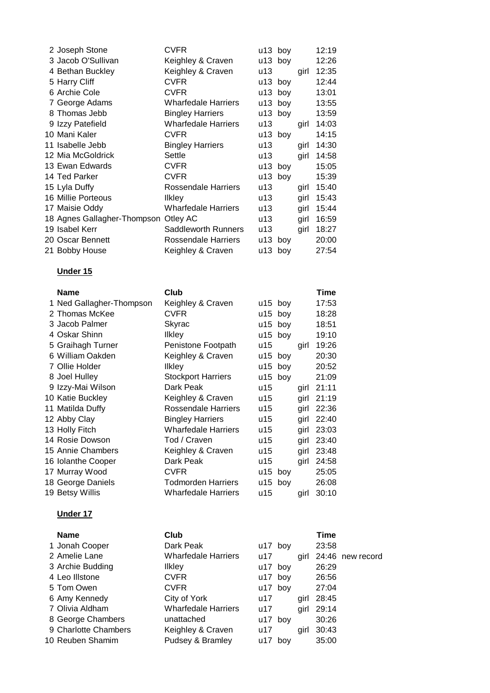| 2 Joseph Stone              | <b>CVFR</b>                |     | u13 boy   |      | 12:19 |
|-----------------------------|----------------------------|-----|-----------|------|-------|
| 3 Jacob O'Sullivan          | Keighley & Craven          |     | $u13$ boy |      | 12:26 |
| 4 Bethan Buckley            | Keighley & Craven          | u13 |           | girl | 12:35 |
| 5 Harry Cliff               | <b>CVFR</b>                |     | u13 boy   |      | 12:44 |
| 6 Archie Cole               | <b>CVFR</b>                |     | $u13$ boy |      | 13:01 |
| 7 George Adams              | <b>Wharfedale Harriers</b> |     | u13 boy   |      | 13:55 |
| 8 Thomas Jebb               | <b>Bingley Harriers</b>    |     | $u13$ boy |      | 13:59 |
| 9 Izzy Patefield            | <b>Wharfedale Harriers</b> | u13 |           | girl | 14:03 |
| 10 Mani Kaler               | <b>CVFR</b>                |     | $u13$ boy |      | 14:15 |
| 11 Isabelle Jebb            | <b>Bingley Harriers</b>    | u13 |           | girl | 14:30 |
| 12 Mia McGoldrick           | Settle                     | u13 |           | girl | 14:58 |
| 13 Ewan Edwards             | <b>CVFR</b>                |     | $u13$ boy |      | 15:05 |
| 14 Ted Parker               | <b>CVFR</b>                |     | $u13$ boy |      | 15:39 |
| 15 Lyla Duffy               | Rossendale Harriers        | u13 |           | girl | 15:40 |
| 16 Millie Porteous          | <b>Ilkley</b>              | u13 |           | girl | 15:43 |
| 17 Maisie Oddy              | <b>Wharfedale Harriers</b> | u13 |           | girl | 15:44 |
| 18 Agnes Gallagher-Thompson | Otley AC                   | u13 |           | girl | 16:59 |
| 19 Isabel Kerr              | <b>Saddleworth Runners</b> | u13 |           | girl | 18:27 |
| 20 Oscar Bennett            | Rossendale Harriers        | u13 | boy       |      | 20:00 |
| 21 Bobby House              | Keighley & Craven          |     | u13 boy   |      | 27:54 |

## **Under 15**

| <b>Name</b>              | Club                       |           |           |      | <b>Time</b> |
|--------------------------|----------------------------|-----------|-----------|------|-------------|
| 1 Ned Gallagher-Thompson | Keighley & Craven          |           | $u15$ boy |      | 17:53       |
| 2 Thomas McKee           | <b>CVFR</b>                |           | u15 boy   |      | 18:28       |
| 3 Jacob Palmer           | Skyrac                     |           | u15 boy   |      | 18:51       |
| 4 Oskar Shinn            | <b>Ilkley</b>              | u15 boy   |           |      | 19:10       |
| 5 Graihagh Turner        | Penistone Footpath         | u15       |           | girl | 19:26       |
| 6 William Oakden         | Keighley & Craven          | $u15$ boy |           |      | 20:30       |
| 7 Ollie Holder           | <b>Ilkley</b>              |           | u15 boy   |      | 20:52       |
| 8 Joel Hulley            | <b>Stockport Harriers</b>  | u15 boy   |           |      | 21:09       |
| 9 Izzy-Mai Wilson        | Dark Peak                  | u15       |           | girl | 21:11       |
| 10 Katie Buckley         | Keighley & Craven          | u15       |           | girl | 21:19       |
| 11 Matilda Duffy         | <b>Rossendale Harriers</b> | u15       |           | girl | 22:36       |
| 12 Abby Clay             | <b>Bingley Harriers</b>    | u15       |           | girl | 22:40       |
| 13 Holly Fitch           | <b>Wharfedale Harriers</b> | u15       |           | girl | 23:03       |
| 14 Rosie Dowson          | Tod / Craven               | u15       |           | girl | 23:40       |
| 15 Annie Chambers        | Keighley & Craven          | u15       |           | girl | 23:48       |
| 16 Iolanthe Cooper       | Dark Peak                  | u15       |           | girl | 24:58       |
| 17 Murray Wood           | <b>CVFR</b>                | u15 boy   |           |      | 25:05       |
| 18 George Daniels        | <b>Todmorden Harriers</b>  | u15 boy   |           |      | 26:08       |
| 19 Betsy Willis          | <b>Wharfedale Harriers</b> | u15       |           | girl | 30:10       |

# **Under 17**

| Club                       |     |      | Time                                                       |
|----------------------------|-----|------|------------------------------------------------------------|
| Dark Peak                  |     |      | 23:58                                                      |
| <b>Wharfedale Harriers</b> | u17 | girl | 24:46 new record                                           |
| <b>Ilkley</b>              |     |      | 26:29                                                      |
| <b>CVFR</b>                |     |      | 26:56                                                      |
| <b>CVFR</b>                |     |      | 27:04                                                      |
| City of York               | u17 | airl | 28:45                                                      |
| <b>Wharfedale Harriers</b> | u17 | airl | 29:14                                                      |
| unattached                 |     |      | 30:26                                                      |
| Keighley & Craven          | u17 | airl | 30:43                                                      |
| Pudsey & Bramley           | u17 |      | 35:00                                                      |
|                            |     |      | u17 boy<br>u17 boy<br>u17 boy<br>u17 boy<br>u17 boy<br>boy |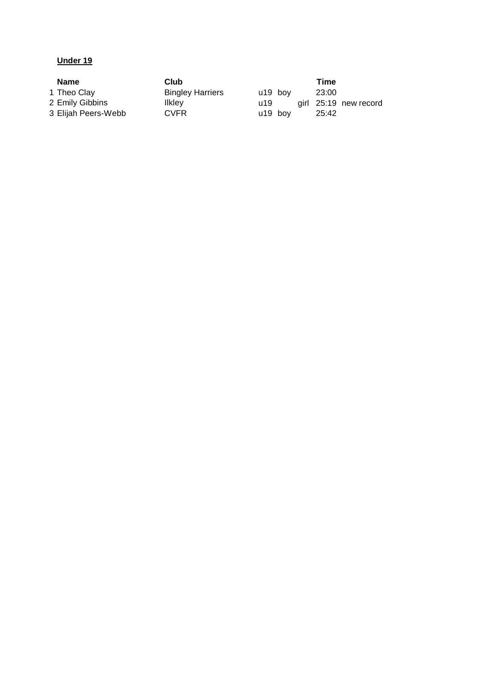## **Under 19**

| Name                | Club                    |         | Time                  |
|---------------------|-------------------------|---------|-----------------------|
| 1 Theo Clay         | <b>Bingley Harriers</b> | u19 bov | 23:00                 |
| 2 Emily Gibbins     | <b>Ilklev</b>           | u19     | girl 25:19 new record |
| 3 Elijah Peers-Webb | <b>CVFR</b>             | u19 bov | 25:42                 |